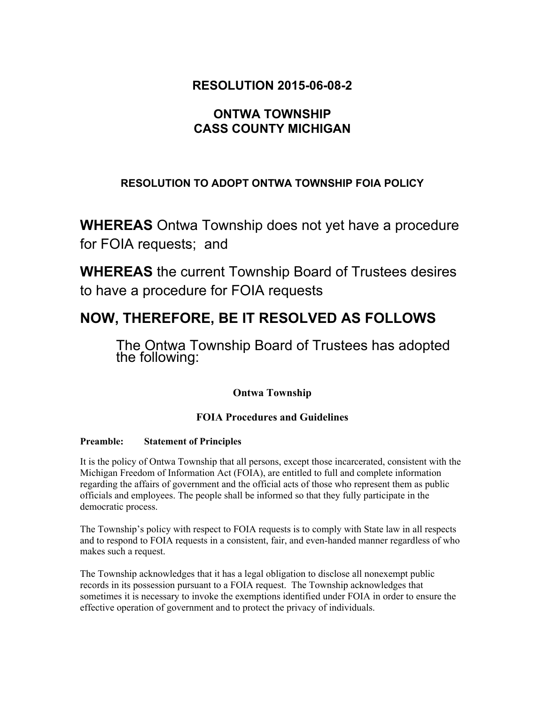# **RESOLUTION 2015-06-08-2**

# **ONTWA TOWNSHIP CASS COUNTY MICHIGAN**

# **RESOLUTION TO ADOPT ONTWA TOWNSHIP FOIA POLICY**

**WHEREAS** Ontwa Township does not yet have a procedure for FOIA requests; and

**WHEREAS** the current Township Board of Trustees desires to have a procedure for FOIA requests

# **NOW, THEREFORE, BE IT RESOLVED AS FOLLOWS**

The Ontwa Township Board of Trustees has adopted the following:

## **Ontwa Township**

## **FOIA Procedures and Guidelines**

#### **Preamble: Statement of Principles**

It is the policy of Ontwa Township that all persons, except those incarcerated, consistent with the Michigan Freedom of Information Act (FOIA), are entitled to full and complete information regarding the affairs of government and the official acts of those who represent them as public officials and employees. The people shall be informed so that they fully participate in the democratic process.

The Township's policy with respect to FOIA requests is to comply with State law in all respects and to respond to FOIA requests in a consistent, fair, and even-handed manner regardless of who makes such a request.

The Township acknowledges that it has a legal obligation to disclose all nonexempt public records in its possession pursuant to a FOIA request. The Township acknowledges that sometimes it is necessary to invoke the exemptions identified under FOIA in order to ensure the effective operation of government and to protect the privacy of individuals.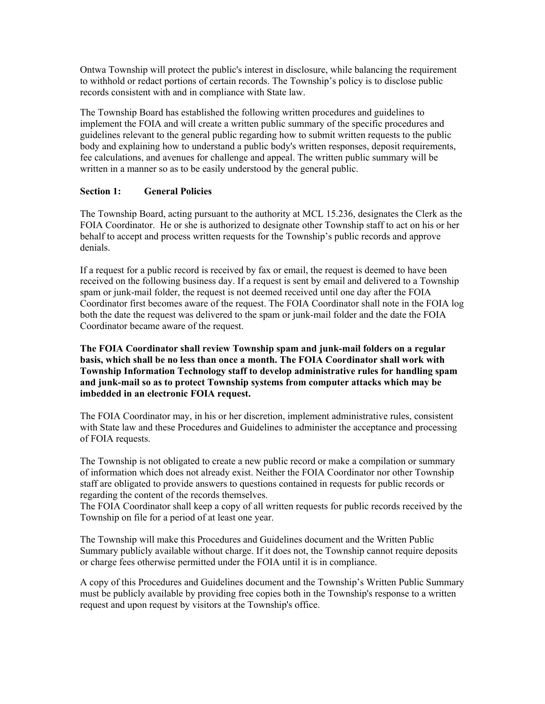Ontwa Township will protect the public's interest in disclosure, while balancing the requirement to withhold or redact portions of certain records. The Township's policy is to disclose public records consistent with and in compliance with State law.

The Township Board has established the following written procedures and guidelines to implement the FOIA and will create a written public summary of the specific procedures and guidelines relevant to the general public regarding how to submit written requests to the public body and explaining how to understand a public body's written responses, deposit requirements, fee calculations, and avenues for challenge and appeal. The written public summary will be written in a manner so as to be easily understood by the general public.

#### **Section 1: General Policies**

The Township Board, acting pursuant to the authority at MCL 15.236, designates the Clerk as the FOIA Coordinator. He or she is authorized to designate other Township staff to act on his or her behalf to accept and process written requests for the Township's public records and approve denials.

If a request for a public record is received by fax or email, the request is deemed to have been received on the following business day. If a request is sent by email and delivered to a Township spam or junk-mail folder, the request is not deemed received until one day after the FOIA Coordinator first becomes aware of the request. The FOIA Coordinator shall note in the FOIA log both the date the request was delivered to the spam or junk-mail folder and the date the FOIA Coordinator became aware of the request.

**The FOIA Coordinator shall review Township spam and junk-mail folders on a regular basis, which shall be no less than once a month. The FOIA Coordinator shall work with Township Information Technology staff to develop administrative rules for handling spam**  and junk-mail so as to protect Township systems from computer attacks which may be **imbedded in an electronic FOIA request.**

The FOIA Coordinator may, in his or her discretion, implement administrative rules, consistent with State law and these Procedures and Guidelines to administer the acceptance and processing of FOIA requests.

The Township is not obligated to create a new public record or make a compilation or summary of information which does not already exist. Neither the FOIA Coordinator nor other Township staff are obligated to provide answers to questions contained in requests for public records or regarding the content of the records themselves.

The FOIA Coordinator shall keep a copy of all written requests for public records received by the Township on file for a period of at least one year.

The Township will make this Procedures and Guidelines document and the Written Public Summary publicly available without charge. If it does not, the Township cannot require deposits or charge fees otherwise permitted under the FOIA until it is in compliance.

A copy of this Procedures and Guidelines document and the Township's Written Public Summary must be publicly available by providing free copies both in the Township's response to a written request and upon request by visitors at the Township's office.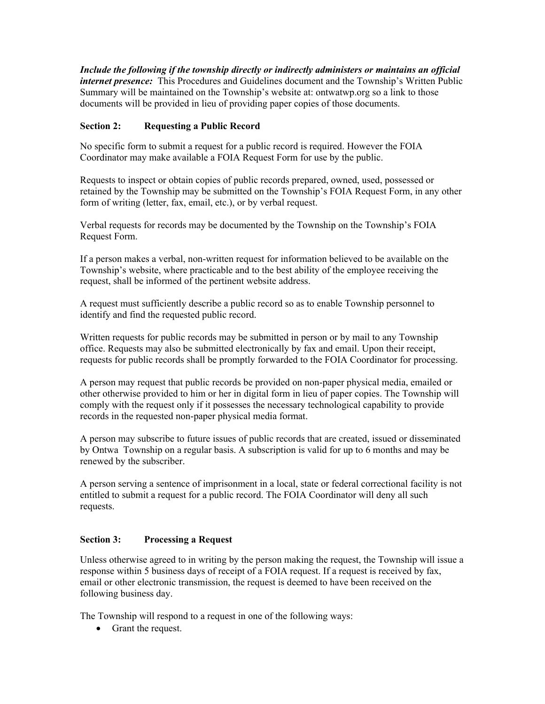*Include the following if the township directly or indirectly administers or maintains an official internet presence:* This Procedures and Guidelines document and the Township's Written Public Summary will be maintained on the Township's website at: ontwatwp.org so a link to those documents will be provided in lieu of providing paper copies of those documents.

#### **Section 2: Requesting a Public Record**

No specific form to submit a request for a public record is required. However the FOIA Coordinator may make available a FOIA Request Form for use by the public.

Requests to inspect or obtain copies of public records prepared, owned, used, possessed or retained by the Township may be submitted on the Township's FOIA Request Form, in any other form of writing (letter, fax, email, etc.), or by verbal request.

Verbal requests for records may be documented by the Township on the Township's FOIA Request Form.

If a person makes a verbal, non-written request for information believed to be available on the Township's website, where practicable and to the best ability of the employee receiving the request, shall be informed of the pertinent website address.

A request must sufficiently describe a public record so as to enable Township personnel to identify and find the requested public record.

Written requests for public records may be submitted in person or by mail to any Township office. Requests may also be submitted electronically by fax and email. Upon their receipt, requests for public records shall be promptly forwarded to the FOIA Coordinator for processing.

A person may request that public records be provided on non-paper physical media, emailed or other otherwise provided to him or her in digital form in lieu of paper copies. The Township will comply with the request only if it possesses the necessary technological capability to provide records in the requested non-paper physical media format.

A person may subscribe to future issues of public records that are created, issued or disseminated by Ontwa Township on a regular basis. A subscription is valid for up to 6 months and may be renewed by the subscriber.

A person serving a sentence of imprisonment in a local, state or federal correctional facility is not entitled to submit a request for a public record. The FOIA Coordinator will deny all such requests.

#### **Section 3: Processing a Request**

Unless otherwise agreed to in writing by the person making the request, the Township will issue a response within 5 business days of receipt of a FOIA request. If a request is received by fax, email or other electronic transmission, the request is deemed to have been received on the following business day.

The Township will respond to a request in one of the following ways:

• Grant the request.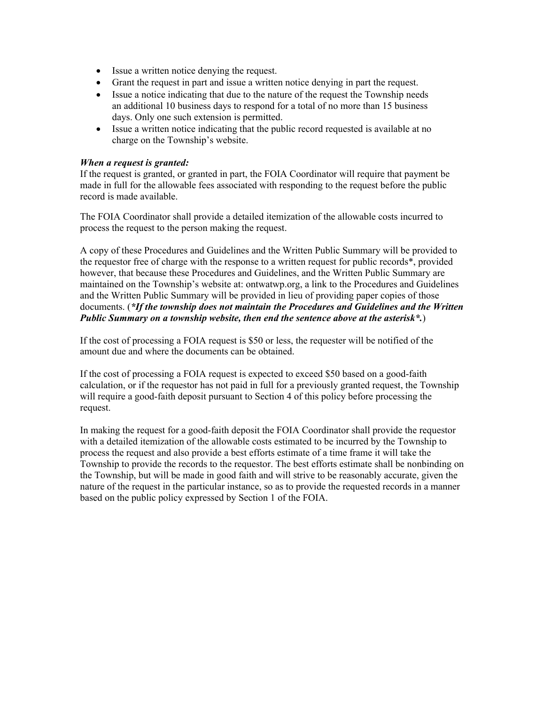- Issue a written notice denying the request.
- Grant the request in part and issue a written notice denying in part the request.
- Issue a notice indicating that due to the nature of the request the Township needs an additional 10 business days to respond for a total of no more than 15 business days. Only one such extension is permitted.
- Issue a written notice indicating that the public record requested is available at no charge on the Township's website.

#### *When a request is granted:*

If the request is granted, or granted in part, the FOIA Coordinator will require that payment be made in full for the allowable fees associated with responding to the request before the public record is made available.

The FOIA Coordinator shall provide a detailed itemization of the allowable costs incurred to process the request to the person making the request.

A copy of these Procedures and Guidelines and the Written Public Summary will be provided to the requestor free of charge with the response to a written request for public records\*, provided however, that because these Procedures and Guidelines, and the Written Public Summary are maintained on the Township's website at: ontwatwp.org, a link to the Procedures and Guidelines and the Written Public Summary will be provided in lieu of providing paper copies of those documents. (*\*If the township does not maintain the Procedures and Guidelines and the Written Public Summary on a township website, then end the sentence above at the asterisk\*.*)

If the cost of processing a FOIA request is \$50 or less, the requester will be notified of the amount due and where the documents can be obtained.

If the cost of processing a FOIA request is expected to exceed \$50 based on a good-faith calculation, or if the requestor has not paid in full for a previously granted request, the Township will require a good-faith deposit pursuant to Section 4 of this policy before processing the request.

In making the request for a good-faith deposit the FOIA Coordinator shall provide the requestor with a detailed itemization of the allowable costs estimated to be incurred by the Township to process the request and also provide a best efforts estimate of a time frame it will take the Township to provide the records to the requestor. The best efforts estimate shall be nonbinding on the Township, but will be made in good faith and will strive to be reasonably accurate, given the nature of the request in the particular instance, so as to provide the requested records in a manner based on the public policy expressed by Section 1 of the FOIA.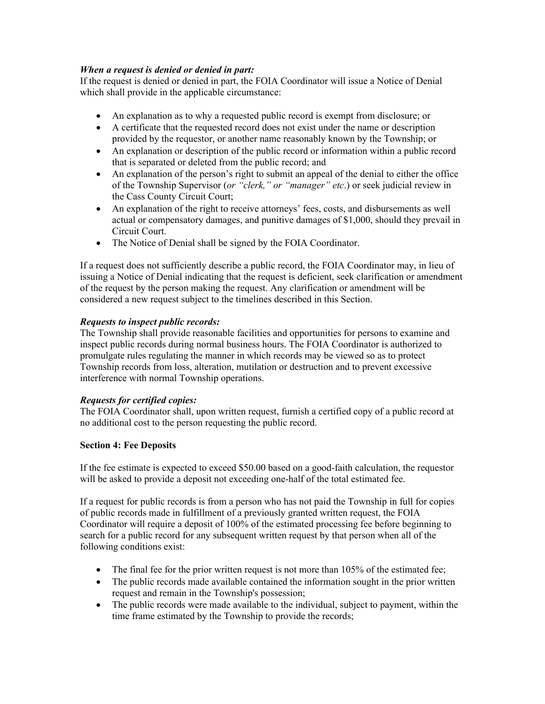#### *When a request is denied or denied in part:*

If the request is denied or denied in part, the FOIA Coordinator will issue a Notice of Denial which shall provide in the applicable circumstance:

- An explanation as to why a requested public record is exempt from disclosure; or
- A certificate that the requested record does not exist under the name or description provided by the requestor, or another name reasonably known by the Township; or
- An explanation or description of the public record or information within a public record that is separated or deleted from the public record; and
- An explanation of the person's right to submit an appeal of the denial to either the office of the Township Supervisor (*or "clerk," or "manager" etc*.) or seek judicial review in the Cass County Circuit Court;
- An explanation of the right to receive attorneys' fees, costs, and disbursements as well actual or compensatory damages, and punitive damages of \$1,000, should they prevail in Circuit Court.
- The Notice of Denial shall be signed by the FOIA Coordinator.

If a request does not sufficiently describe a public record, the FOIA Coordinator may, in lieu of issuing a Notice of Denial indicating that the request is deficient, seek clarification or amendment of the request by the person making the request. Any clarification or amendment will be considered a new request subject to the timelines described in this Section.

#### *Requests to inspect public records:*

The Township shall provide reasonable facilities and opportunities for persons to examine and inspect public records during normal business hours. The FOIA Coordinator is authorized to promulgate rules regulating the manner in which records may be viewed so as to protect Township records from loss, alteration, mutilation or destruction and to prevent excessive interference with normal Township operations.

#### *Requests for certified copies:*

The FOIA Coordinator shall, upon written request, furnish a certified copy of a public record at no additional cost to the person requesting the public record.

#### **Section 4: Fee Deposits**

If the fee estimate is expected to exceed  $$50.00$  based on a good-faith calculation, the requestor will be asked to provide a deposit not exceeding one-half of the total estimated fee.

If a request for public records is from a person who has not paid the Township in full for copies of public records made in fulfillment of a previously granted written request, the FOIA Coordinator will require a deposit of 100% of the estimated processing fee before beginning to search for a public record for any subsequent written request by that person when all of the following conditions exist:

- $\bullet$  The final fee for the prior written request is not more than 105% of the estimated fee;
- The public records made available contained the information sought in the prior written request and remain in the Township's possession;
- The public records were made available to the individual, subject to payment, within the time frame estimated by the Township to provide the records;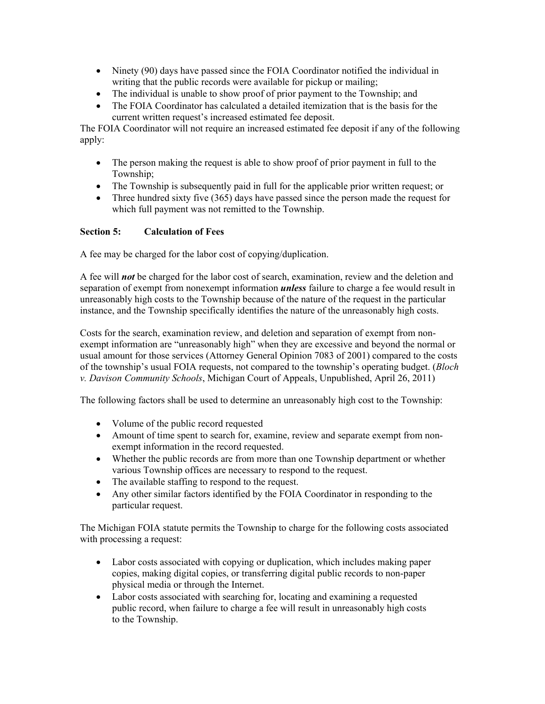- $\bullet$  Ninety (90) days have passed since the FOIA Coordinator notified the individual in writing that the public records were available for pickup or mailing;
- The individual is unable to show proof of prior payment to the Township; and
- The FOIA Coordinator has calculated a detailed itemization that is the basis for the current written request's increased estimated fee deposit.

The FOIA Coordinator will not require an increased estimated fee deposit if any of the following apply:

- The person making the request is able to show proof of prior payment in full to the Township;
- The Township is subsequently paid in full for the applicable prior written request; or
- $\bullet$  Three hundred sixty five (365) days have passed since the person made the request for which full payment was not remitted to the Township.

#### **Section 5: Calculation of Fees**

A fee may be charged for the labor cost of copying/duplication.

A fee will *not* be charged for the labor cost of search, examination, review and the deletion and separation of exempt from nonexempt information *unless* failure to charge a fee would result in unreasonably high costs to the Township because of the nature of the request in the particular instance, and the Township specifically identifies the nature of the unreasonably high costs.

Costs for the search, examination review, and deletion and separation of exempt from non exempt information are "unreasonably high" when they are excessive and beyond the normal or usual amount for those services (Attorney General Opinion 7083 of 2001) compared to the costs of the township's usual FOIA requests, not compared to the township's operating budget. (*Bloch v. Davison Community Schools*, Michigan Court of Appeals, Unpublished, April 26, 2011)

The following factors shall be used to determine an unreasonably high cost to the Township:

- Volume of the public record requested
- Amount of time spent to search for, examine, review and separate exempt from nonexempt information in the record requested.
- Whether the public records are from more than one Township department or whether various Township offices are necessary to respond to the request.
- The available staffing to respond to the request.
- Any other similar factors identified by the FOIA Coordinator in responding to the particular request.

The Michigan FOIA statute permits the Township to charge for the following costs associated with processing a request:

- Labor costs associated with copying or duplication, which includes making paper copies, making digital copies, or transferring digital public records to non-paper physical media or through the Internet.
- Labor costs associated with searching for, locating and examining a requested public record, when failure to charge a fee will result in unreasonably high costs to the Township.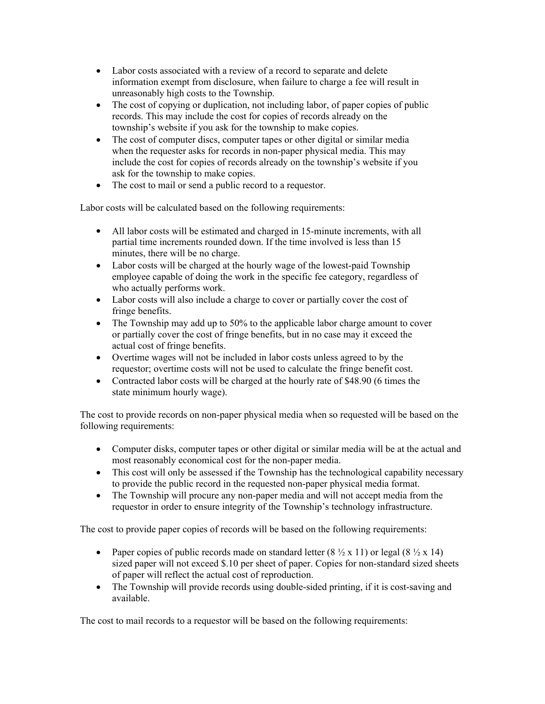- Labor costs associated with a review of a record to separate and delete information exempt from disclosure, when failure to charge a fee will result in unreasonably high costs to the Township.
- $\bullet$  The cost of copying or duplication, not including labor, of paper copies of public records. This may include the cost for copies of records already on the township's website if you ask for the township to make copies.
- The cost of computer discs, computer tapes or other digital or similar media when the requester asks for records in non-paper physical media. This may include the cost for copies of records already on the township's website if you ask for the township to make copies.
- The cost to mail or send a public record to a requestor.

Labor costs will be calculated based on the following requirements:

- All labor costs will be estimated and charged in 15-minute increments, with all partial time increments rounded down. If the time involved is less than 15 minutes, there will be no charge.
- Labor costs will be charged at the hourly wage of the lowest-paid Township employee capable of doing the work in the specific fee category, regardless of who actually performs work.
- Labor costs will also include a charge to cover or partially cover the cost of fringe benefits.
- $\bullet$  The Township may add up to 50% to the applicable labor charge amount to cover or partially cover the cost of fringe benefits, but in no case may it exceed the actual cost of fringe benefits.
- Overtime wages will not be included in labor costs unless agreed to by the requestor; overtime costs will not be used to calculate the fringe benefit cost.
- Contracted labor costs will be charged at the hourly rate of \$48.90 (6 times the state minimum hourly wage).

The cost to provide records on non-paper physical media when so requested will be based on the following requirements:

- Computer disks, computer tapes or other digital or similar media will be at the actual and most reasonably economical cost for the non-paper media.
- This cost will only be assessed if the Township has the technological capability necessary to provide the public record in the requested non-paper physical media format.
- The Township will procure any non-paper media and will not accept media from the requestor in order to ensure integrity of the Township's technology infrastructure.

The cost to provide paper copies of records will be based on the following requirements:

- Paper copies of public records made on standard letter  $(8 \frac{1}{2} \times 11)$  or legal  $(8 \frac{1}{2} \times 14)$ sized paper will not exceed \$.10 per sheet of paper. Copies for non-standard sized sheets of paper will reflect the actual cost of reproduction.
- The Township will provide records using double-sided printing, if it is cost-saving and available.

The cost to mail records to a requestor will be based on the following requirements: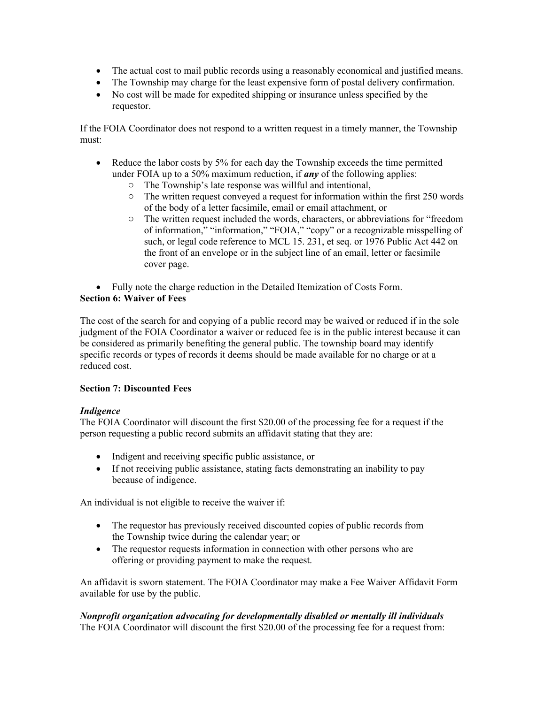- The actual cost to mail public records using a reasonably economical and justified means.
- The Township may charge for the least expensive form of postal delivery confirmation.
- No cost will be made for expedited shipping or insurance unless specified by the requestor.

If the FOIA Coordinator does not respond to a written request in a timely manner, the Township must:

- $\bullet$  Reduce the labor costs by 5% for each day the Township exceeds the time permitted under FOIA up to a 50% maximum reduction, if *any* of the following applies:
	- o The Township's late response was willful and intentional,
	- $\circ$  The written request conveyed a request for information within the first 250 words of the body of a letter facsimile, email or email attachment, or
	- o The written request included the words, characters, or abbreviations for "freedom of information," "information," "FOIA," "copy" or a recognizable misspelling of such, or legal code reference to MCL 15. 231, et seq. or 1976 Public Act 442 on the front of an envelope or in the subject line of an email, letter or facsimile cover page.

• Fully note the charge reduction in the Detailed Itemization of Costs Form.

#### **Section 6: Waiver of Fees**

The cost of the search for and copying of a public record may be waived or reduced if in the sole judgment of the FOIA Coordinator a waiver or reduced fee is in the public interest because it can be considered as primarily benefiting the general public. The township board may identify specific records or types of records it deems should be made available for no charge or at a reduced cost.

#### **Section 7: Discounted Fees**

#### *Indigence*

The FOIA Coordinator will discount the first \$20.00 of the processing fee for a request if the person requesting a public record submits an affidavit stating that they are:

- Indigent and receiving specific public assistance, or
- If not receiving public assistance, stating facts demonstrating an inability to pay because of indigence.

An individual is not eligible to receive the waiver if:

- The requestor has previously received discounted copies of public records from the Township twice during the calendar year; or
- The requestor requests information in connection with other persons who are offering or providing payment to make the request.

An affidavit is sworn statement. The FOIA Coordinator may make a Fee Waiver Affidavit Form available for use by the public.

*Nonprofit organization advocating for developmentally disabled or mentally ill individuals* The FOIA Coordinator will discount the first \$20.00 of the processing fee for a request from: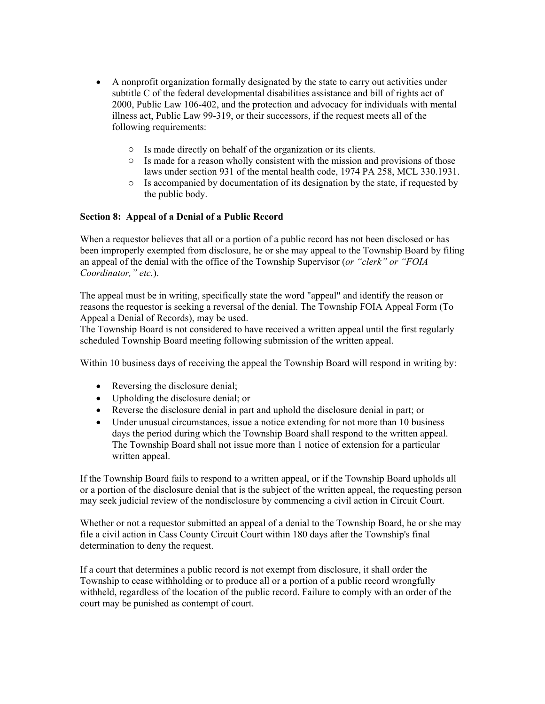- A nonprofit organization formally designated by the state to carry out activities under subtitle C of the federal developmental disabilities assistance and bill of rights act of 2000, Public Law 106402, and the protection and advocacy for individuals with mental illness act, Public Law 99-319, or their successors, if the request meets all of the following requirements:
	- o Is made directly on behalf of the organization or its clients.
	- o Is made for a reason wholly consistent with the mission and provisions of those laws under section 931 of the mental health code, 1974 PA 258, MCL 330.1931.
	- o Is accompanied by documentation of its designation by the state, if requested by the public body.

#### **Section 8: Appeal of a Denial of a Public Record**

When a requestor believes that all or a portion of a public record has not been disclosed or has been improperly exempted from disclosure, he or she may appeal to the Township Board by filing an appeal of the denial with the office of the Township Supervisor (*or "clerk" or "FOIA Coordinator," etc.*).

The appeal must be in writing, specifically state the word "appeal" and identify the reason or reasons the requestor is seeking a reversal of the denial. The Township FOIA Appeal Form (To Appeal a Denial of Records), may be used.

The Township Board is not considered to have received a written appeal until the first regularly scheduled Township Board meeting following submission of the written appeal.

Within 10 business days of receiving the appeal the Township Board will respond in writing by:

- $\bullet$  Reversing the disclosure denial;
- Upholding the disclosure denial; or
- Reverse the disclosure denial in part and uphold the disclosure denial in part; or
- Under unusual circumstances, issue a notice extending for not more than 10 business days the period during which the Township Board shall respond to the written appeal. The Township Board shall not issue more than 1 notice of extension for a particular written appeal.

If the Township Board fails to respond to a written appeal, or if the Township Board upholds all or a portion of the disclosure denial that is the subject of the written appeal, the requesting person may seek judicial review of the nondisclosure by commencing a civil action in Circuit Court.

Whether or not a requestor submitted an appeal of a denial to the Township Board, he or she may file a civil action in Cass County Circuit Court within 180 days after the Township's final determination to deny the request.

If a court that determines a public record is not exempt from disclosure, it shall order the Township to cease withholding or to produce all or a portion of a public record wrongfully withheld, regardless of the location of the public record. Failure to comply with an order of the court may be punished as contempt of court.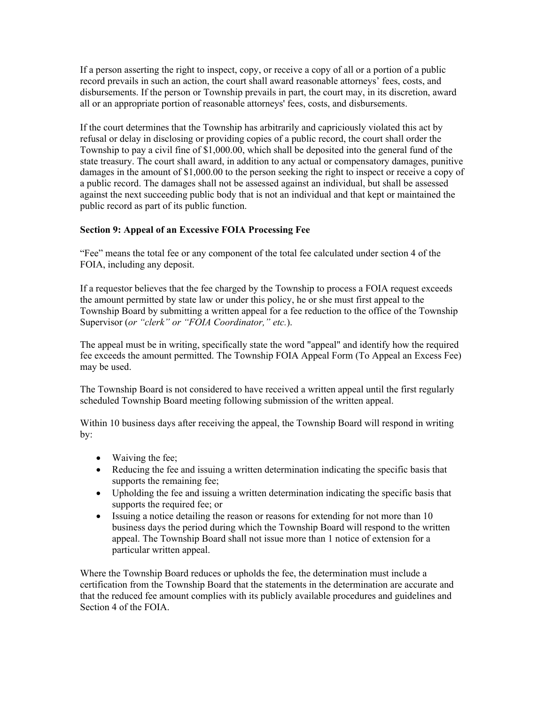If a person asserting the right to inspect, copy, or receive a copy of all or a portion of a public record prevails in such an action, the court shall award reasonable attorneys' fees, costs, and disbursements. If the person or Township prevails in part, the court may, in its discretion, award all or an appropriate portion of reasonable attorneys' fees, costs, and disbursements.

If the court determines that the Township has arbitrarily and capriciously violated this act by refusal or delay in disclosing or providing copies of a public record, the court shall order the Township to pay a civil fine of \$1,000.00, which shall be deposited into the general fund of the state treasury. The court shall award, in addition to any actual or compensatory damages, punitive damages in the amount of \$1,000.00 to the person seeking the right to inspect or receive a copy of a public record. The damages shall not be assessed against an individual, but shall be assessed against the next succeeding public body that is not an individual and that kept or maintained the public record as part of its public function.

#### **Section 9: Appeal of an Excessive FOIA Processing Fee**

"Fee" means the total fee or any component of the total fee calculated under section 4 of the FOIA, including any deposit.

If a requestor believes that the fee charged by the Township to process a FOIA request exceeds the amount permitted by state law or under this policy, he or she must first appeal to the Township Board by submitting a written appeal for a fee reduction to the office of the Township Supervisor (*or "clerk" or "FOIA Coordinator," etc.*).

The appeal must be in writing, specifically state the word "appeal" and identify how the required fee exceeds the amount permitted. The Township FOIA Appeal Form (To Appeal an Excess Fee) may be used.

The Township Board is not considered to have received a written appeal until the first regularly scheduled Township Board meeting following submission of the written appeal.

Within 10 business days after receiving the appeal, the Township Board will respond in writing by:

- $\bullet$  Waiving the fee;
- Reducing the fee and issuing a written determination indicating the specific basis that supports the remaining fee;
- Upholding the fee and issuing a written determination indicating the specific basis that supports the required fee; or
- Issuing a notice detailing the reason or reasons for extending for not more than 10 business days the period during which the Township Board will respond to the written appeal. The Township Board shall not issue more than 1 notice of extension for a particular written appeal.

Where the Township Board reduces or upholds the fee, the determination must include a certification from the Township Board that the statements in the determination are accurate and that the reduced fee amount complies with its publicly available procedures and guidelines and Section 4 of the FOIA.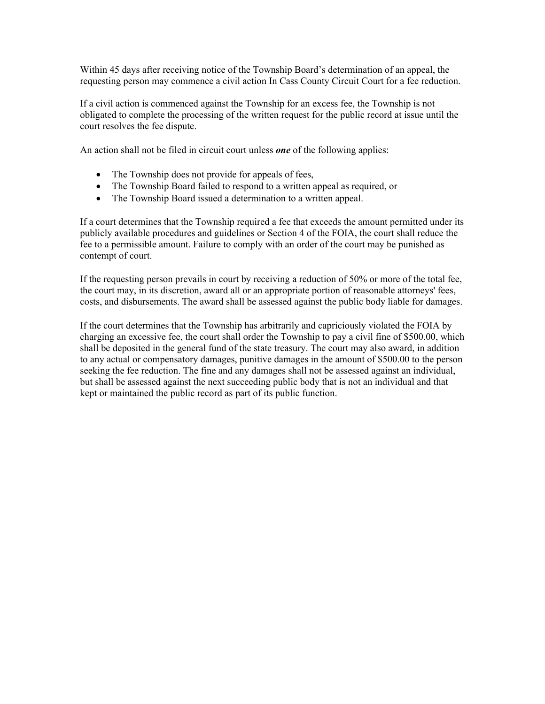Within 45 days after receiving notice of the Township Board's determination of an appeal, the requesting person may commence a civil action In Cass County Circuit Court for a fee reduction.

If a civil action is commenced against the Township for an excess fee, the Township is not obligated to complete the processing of the written request for the public record at issue until the court resolves the fee dispute.

An action shall not be filed in circuit court unless *one* of the following applies:

- The Township does not provide for appeals of fees,
- The Township Board failed to respond to a written appeal as required, or
- The Township Board issued a determination to a written appeal.

If a court determines that the Township required a fee that exceeds the amount permitted under its publicly available procedures and guidelines or Section 4 of the FOIA, the court shall reduce the fee to a permissible amount. Failure to comply with an order of the court may be punished as contempt of court.

If the requesting person prevails in court by receiving a reduction of 50% or more of the total fee, the court may, in its discretion, award all or an appropriate portion of reasonable attorneys' fees, costs, and disbursements. The award shall be assessed against the public body liable for damages.

If the court determines that the Township has arbitrarily and capriciously violated the FOIA by charging an excessive fee, the court shall order the Township to pay a civil fine of \$500.00, which shall be deposited in the general fund of the state treasury. The court may also award, in addition to any actual or compensatory damages, punitive damages in the amount of \$500.00 to the person seeking the fee reduction. The fine and any damages shall not be assessed against an individual, but shall be assessed against the next succeeding public body that is not an individual and that kept or maintained the public record as part of its public function.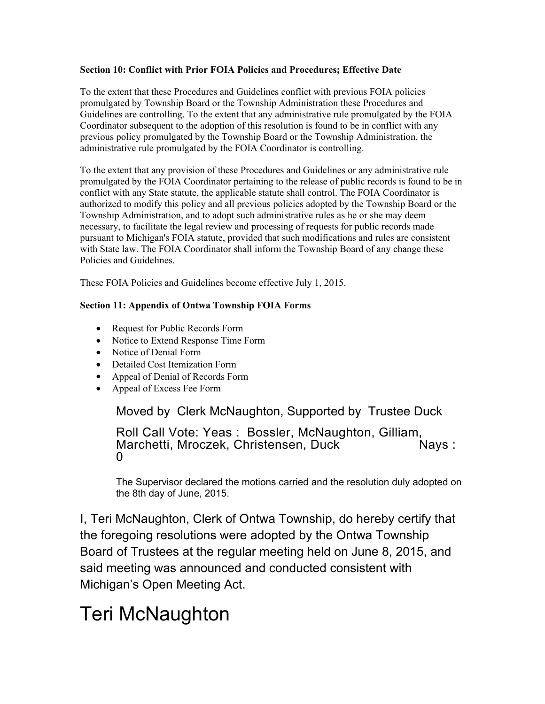#### **Section 10: Conflict with Prior FOIA Policies and Procedures; Effective Date**

To the extent that these Procedures and Guidelines conflict with previous FOIA policies promulgated by Township Board or the Township Administration these Procedures and Guidelines are controlling. To the extent that any administrative rule promulgated by the FOIA Coordinator subsequent to the adoption of this resolution is found to be in conflict with any previous policy promulgated by the Township Board or the Township Administration, the administrative rule promulgated by the FOIA Coordinator is controlling.

To the extent that any provision of these Procedures and Guidelines or any administrative rule promulgated by the FOIA Coordinator pertaining to the release of public records is found to be in conflict with any State statute, the applicable statute shall control. The FOIA Coordinator is authorized to modify this policy and all previous policies adopted by the Township Board or the Township Administration, and to adopt such administrative rules as he or she may deem necessary, to facilitate the legal review and processing of requests for public records made pursuant to Michigan's FOIA statute, provided that such modifications and rules are consistent with State law. The FOIA Coordinator shall inform the Township Board of any change these Policies and Guidelines.

These FOIA Policies and Guidelines become effective July 1, 2015.

#### **Section 11: Appendix of Ontwa Township FOIA Forms**

- Request for Public Records Form
- Notice to Extend Response Time Form
- Notice of Denial Form
- Detailed Cost Itemization Form
- Appeal of Denial of Records Form
- Appeal of Excess Fee Form

Moved by Clerk McNaughton, Supported by Trustee Duck

Roll Call Vote: Yeas : Bossler, McNaughton, Gilliam,<br>Marchetti, Mroczek, Christensen, Duck Nays : 0

The Supervisor declared the motions carried and the resolution duly adopted on the 8th day of June, 2015.

I, Teri McNaughton, Clerk of Ontwa Township, do hereby certify that the foregoing resolutions were adopted by the Ontwa Township Board of Trustees at the regular meeting held on June 8, 2015, and said meeting was announced and conducted consistent with Michigan's Open Meeting Act.

# Teri McNaughton